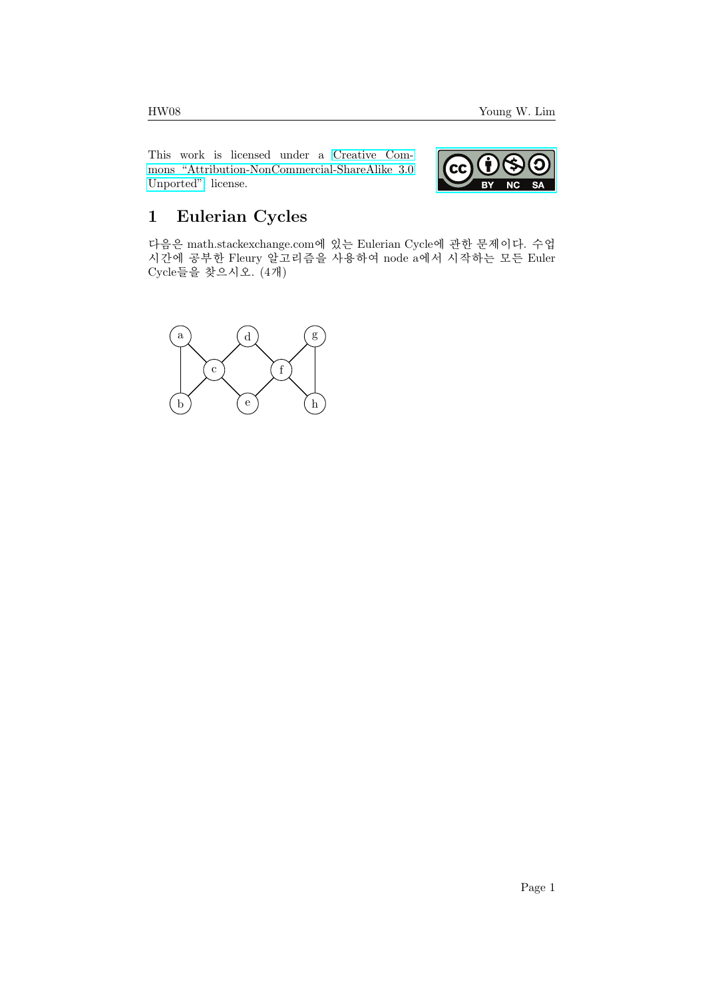This work is licensed under a [Creative Com](https://creativecommons.org/licenses/by-nc-sa/3.0/deed.en)[mons "Attribution-NonCommercial-ShareAlike 3.0](https://creativecommons.org/licenses/by-nc-sa/3.0/deed.en) [Unported"](https://creativecommons.org/licenses/by-nc-sa/3.0/deed.en) license.



## 1 Eulerian Cycles

다음은 math.stackexchange.com에 있는 Eulerian Cycle에 관한 문제이다. 수업 시간에 공부한 Fleury 알고리즘을 사용하여 node a에서 시작하는 모든 Euler Cycle들을 찾으시오. (4개)

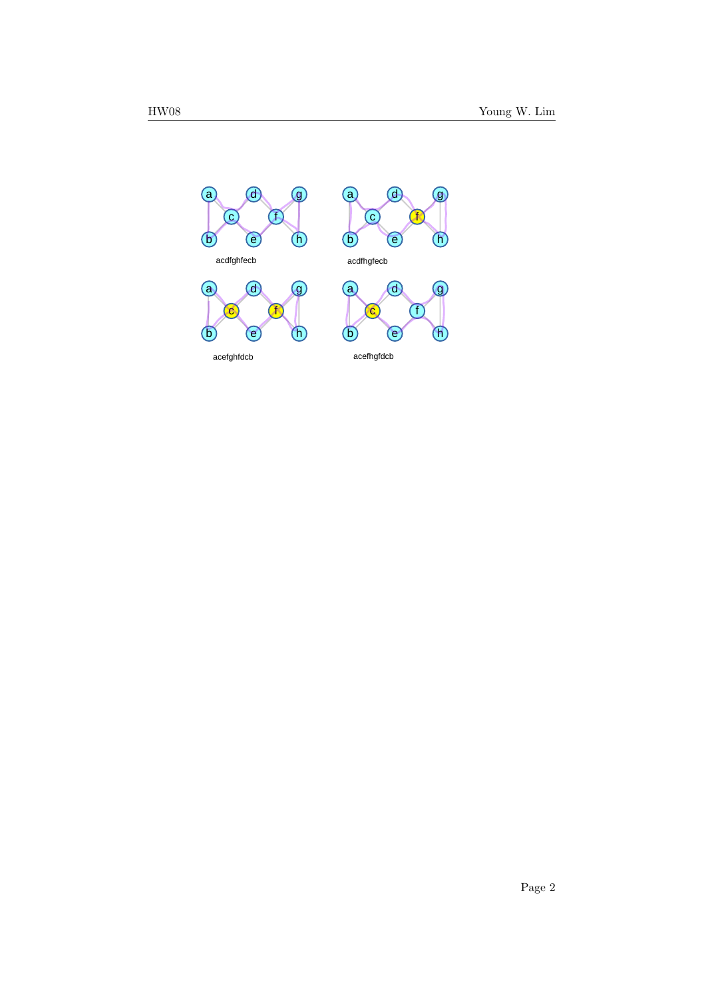

Page 2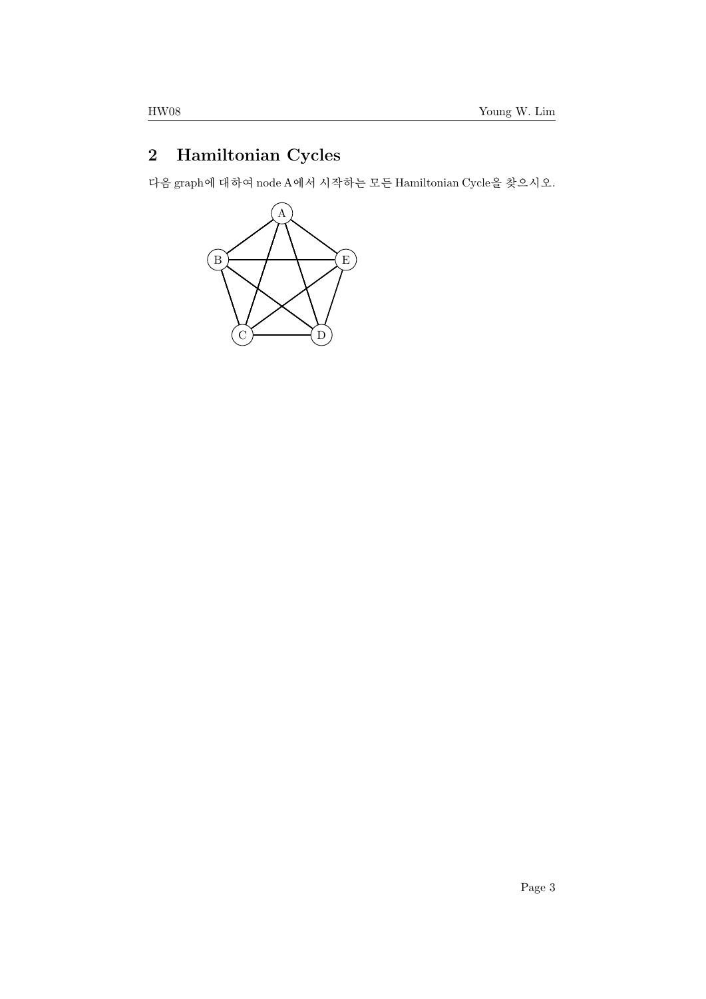## 2 Hamiltonian Cycles

다음 graph에 대하여 node A에서 시작하는 모든 Hamiltonian Cycle을 찾으시오.

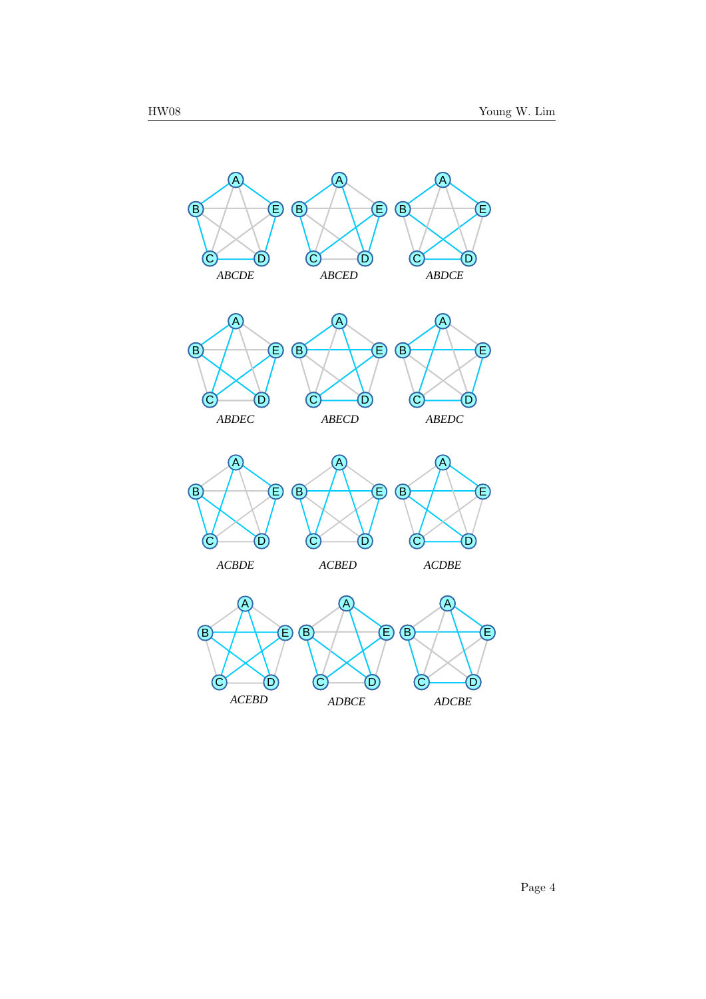